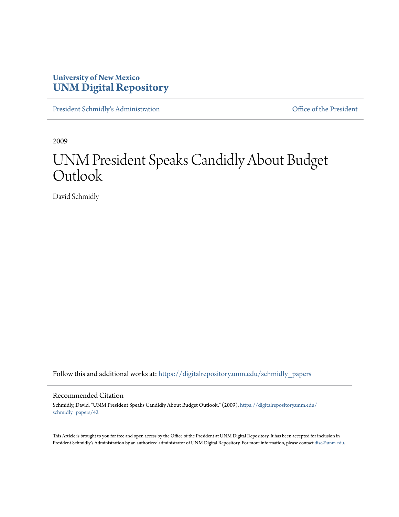# **University of New Mexico [UNM Digital Repository](https://digitalrepository.unm.edu?utm_source=digitalrepository.unm.edu%2Fschmidly_papers%2F42&utm_medium=PDF&utm_campaign=PDFCoverPages)**

[President Schmidly's Administration](https://digitalrepository.unm.edu/schmidly_papers?utm_source=digitalrepository.unm.edu%2Fschmidly_papers%2F42&utm_medium=PDF&utm_campaign=PDFCoverPages) **Communistration** [Office of the President](https://digitalrepository.unm.edu/ofc_president?utm_source=digitalrepository.unm.edu%2Fschmidly_papers%2F42&utm_medium=PDF&utm_campaign=PDFCoverPages)

2009

# UNM President Speaks Candidly About Budget **Outlook**

David Schmidly

Follow this and additional works at: [https://digitalrepository.unm.edu/schmidly\\_papers](https://digitalrepository.unm.edu/schmidly_papers?utm_source=digitalrepository.unm.edu%2Fschmidly_papers%2F42&utm_medium=PDF&utm_campaign=PDFCoverPages)

#### Recommended Citation

Schmidly, David. "UNM President Speaks Candidly About Budget Outlook." (2009). [https://digitalrepository.unm.edu/](https://digitalrepository.unm.edu/schmidly_papers/42?utm_source=digitalrepository.unm.edu%2Fschmidly_papers%2F42&utm_medium=PDF&utm_campaign=PDFCoverPages) [schmidly\\_papers/42](https://digitalrepository.unm.edu/schmidly_papers/42?utm_source=digitalrepository.unm.edu%2Fschmidly_papers%2F42&utm_medium=PDF&utm_campaign=PDFCoverPages)

This Article is brought to you for free and open access by the Office of the President at UNM Digital Repository. It has been accepted for inclusion in President Schmidly's Administration by an authorized administrator of UNM Digital Repository. For more information, please contact [disc@unm.edu](mailto:disc@unm.edu).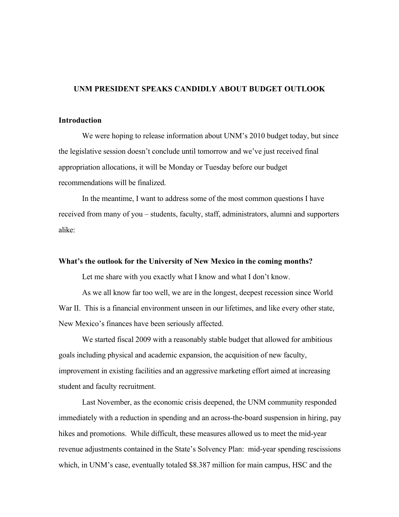## UNM PRESIDENT SPEAKS CANDIDLY ABOUT BUDGET OUTLOOK

# Introduction

We were hoping to release information about UNM's 2010 budget today, but since the legislative session doesn't conclude until tomorrow and we've just received final appropriation allocations, it will be Monday or Tuesday before our budget recommendations will be finalized.

In the meantime, I want to address some of the most common questions I have received from many of you – students, faculty, staff, administrators, alumni and supporters alike:

# What's the outlook for the University of New Mexico in the coming months?

Let me share with you exactly what I know and what I don't know.

As we all know far too well, we are in the longest, deepest recession since World War II. This is a financial environment unseen in our lifetimes, and like every other state, New Mexico's finances have been seriously affected.

We started fiscal 2009 with a reasonably stable budget that allowed for ambitious goals including physical and academic expansion, the acquisition of new faculty, improvement in existing facilities and an aggressive marketing effort aimed at increasing student and faculty recruitment.

Last November, as the economic crisis deepened, the UNM community responded immediately with a reduction in spending and an across-the-board suspension in hiring, pay hikes and promotions. While difficult, these measures allowed us to meet the mid-year revenue adjustments contained in the State's Solvency Plan: mid-year spending rescissions which, in UNM's case, eventually totaled \$8.387 million for main campus, HSC and the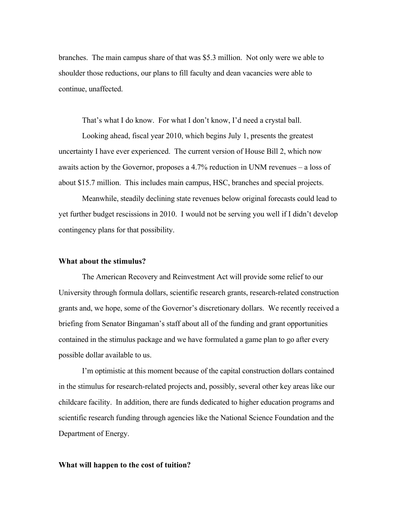branches. The main campus share of that was \$5.3 million. Not only were we able to shoulder those reductions, our plans to fill faculty and dean vacancies were able to continue, unaffected.

That's what I do know. For what I don't know, I'd need a crystal ball.

Looking ahead, fiscal year 2010, which begins July 1, presents the greatest uncertainty I have ever experienced. The current version of House Bill 2, which now awaits action by the Governor, proposes a 4.7% reduction in UNM revenues – a loss of about \$15.7 million. This includes main campus, HSC, branches and special projects.

Meanwhile, steadily declining state revenues below original forecasts could lead to yet further budget rescissions in 2010. I would not be serving you well if I didn't develop contingency plans for that possibility.

#### What about the stimulus?

The American Recovery and Reinvestment Act will provide some relief to our University through formula dollars, scientific research grants, research-related construction grants and, we hope, some of the Governor's discretionary dollars. We recently received a briefing from Senator Bingaman's staff about all of the funding and grant opportunities contained in the stimulus package and we have formulated a game plan to go after every possible dollar available to us.

I'm optimistic at this moment because of the capital construction dollars contained in the stimulus for research-related projects and, possibly, several other key areas like our childcare facility. In addition, there are funds dedicated to higher education programs and scientific research funding through agencies like the National Science Foundation and the Department of Energy.

#### What will happen to the cost of tuition?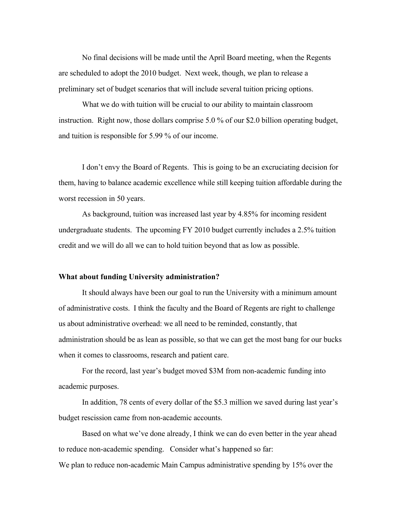No final decisions will be made until the April Board meeting, when the Regents are scheduled to adopt the 2010 budget. Next week, though, we plan to release a preliminary set of budget scenarios that will include several tuition pricing options.

What we do with tuition will be crucial to our ability to maintain classroom instruction. Right now, those dollars comprise 5.0 % of our \$2.0 billion operating budget, and tuition is responsible for 5.99 % of our income.

I don't envy the Board of Regents. This is going to be an excruciating decision for them, having to balance academic excellence while still keeping tuition affordable during the worst recession in 50 years.

As background, tuition was increased last year by 4.85% for incoming resident undergraduate students. The upcoming FY 2010 budget currently includes a 2.5% tuition credit and we will do all we can to hold tuition beyond that as low as possible.

## What about funding University administration?

It should always have been our goal to run the University with a minimum amount of administrative costs. I think the faculty and the Board of Regents are right to challenge us about administrative overhead: we all need to be reminded, constantly, that administration should be as lean as possible, so that we can get the most bang for our bucks when it comes to classrooms, research and patient care.

For the record, last year's budget moved \$3M from non-academic funding into academic purposes.

In addition, 78 cents of every dollar of the \$5.3 million we saved during last year's budget rescission came from non-academic accounts.

Based on what we've done already, I think we can do even better in the year ahead to reduce non-academic spending. Consider what's happened so far:

We plan to reduce non-academic Main Campus administrative spending by 15% over the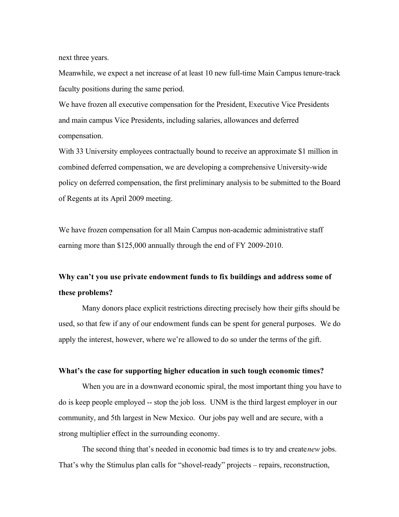next three years.

Meanwhile, we expect a net increase of at least 10 new full-time Main Campus tenure-track faculty positions during the same period.

We have frozen all executive compensation for the President, Executive Vice Presidents and main campus Vice Presidents, including salaries, allowances and deferred compensation.

With 33 University employees contractually bound to receive an approximate \$1 million in combined deferred compensation, we are developing a comprehensive University-wide policy on deferred compensation, the first preliminary analysis to be submitted to the Board of Regents at its April 2009 meeting.

We have frozen compensation for all Main Campus non-academic administrative staff earning more than \$125,000 annually through the end of FY 2009-2010.

# Why can't you use private endowment funds to fix buildings and address some of these problems?

Many donors place explicit restrictions directing precisely how their gifts should be used, so that few if any of our endowment funds can be spent for general purposes. We do apply the interest, however, where we're allowed to do so under the terms of the gift.

### What's the case for supporting higher education in such tough economic times?

When you are in a downward economic spiral, the most important thing you have to do is keep people employed -- stop the job loss. UNM is the third largest employer in our community, and 5th largest in New Mexico. Our jobs pay well and are secure, with a strong multiplier effect in the surrounding economy.

The second thing that's needed in economic bad times is to try and create *new* jobs. That's why the Stimulus plan calls for "shovel-ready" projects – repairs, reconstruction,